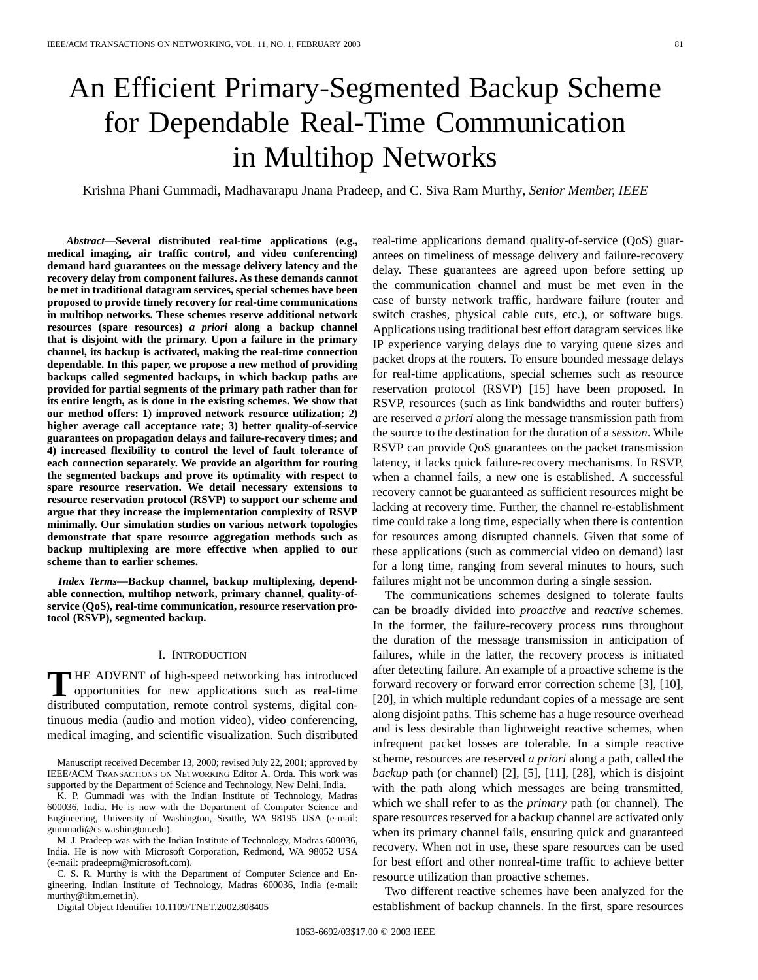# An Efficient Primary-Segmented Backup Scheme for Dependable Real-Time Communication in Multihop Networks

Krishna Phani Gummadi, Madhavarapu Jnana Pradeep, and C. Siva Ram Murthy*, Senior Member, IEEE*

*Abstract—***Several distributed real-time applications (e.g., medical imaging, air traffic control, and video conferencing) demand hard guarantees on the message delivery latency and the recovery delay from component failures. As these demands cannot be met in traditional datagram services, special schemes have been proposed to provide timely recovery for real-time communications in multihop networks. These schemes reserve additional network resources (spare resources)** *a priori* **along a backup channel that is disjoint with the primary. Upon a failure in the primary channel, its backup is activated, making the real-time connection dependable. In this paper, we propose a new method of providing backups called segmented backups, in which backup paths are provided for partial segments of the primary path rather than for its entire length, as is done in the existing schemes. We show that our method offers: 1) improved network resource utilization; 2) higher average call acceptance rate; 3) better quality-of-service guarantees on propagation delays and failure-recovery times; and 4) increased flexibility to control the level of fault tolerance of each connection separately. We provide an algorithm for routing the segmented backups and prove its optimality with respect to spare resource reservation. We detail necessary extensions to resource reservation protocol (RSVP) to support our scheme and argue that they increase the implementation complexity of RSVP minimally. Our simulation studies on various network topologies demonstrate that spare resource aggregation methods such as backup multiplexing are more effective when applied to our scheme than to earlier schemes.**

*Index Terms—***Backup channel, backup multiplexing, dependable connection, multihop network, primary channel, quality-ofservice (QoS), real-time communication, resource reservation protocol (RSVP), segmented backup.**

# I. INTRODUCTION

**T** HE ADVENT of high-speed networking has introduced opportunities for new applications such as real-time distributed computation, remote control systems, digital continuous media (audio and motion video), video conferencing, medical imaging, and scientific visualization. Such distributed

M. J. Pradeep was with the Indian Institute of Technology, Madras 600036, India. He is now with Microsoft Corporation, Redmond, WA 98052 USA (e-mail: pradeepm@microsoft.com).

C. S. R. Murthy is with the Department of Computer Science and Engineering, Indian Institute of Technology, Madras 600036, India (e-mail: murthy@iitm.ernet.in).

Digital Object Identifier 10.1109/TNET.2002.808405

real-time applications demand quality-of-service (QoS) guarantees on timeliness of message delivery and failure-recovery delay. These guarantees are agreed upon before setting up the communication channel and must be met even in the case of bursty network traffic, hardware failure (router and switch crashes, physical cable cuts, etc.), or software bugs. Applications using traditional best effort datagram services like IP experience varying delays due to varying queue sizes and packet drops at the routers. To ensure bounded message delays for real-time applications, special schemes such as resource reservation protocol (RSVP) [15] have been proposed. In RSVP, resources (such as link bandwidths and router buffers) are reserved *a priori* along the message transmission path from the source to the destination for the duration of a *session*. While RSVP can provide QoS guarantees on the packet transmission latency, it lacks quick failure-recovery mechanisms. In RSVP, when a channel fails, a new one is established. A successful recovery cannot be guaranteed as sufficient resources might be lacking at recovery time. Further, the channel re-establishment time could take a long time, especially when there is contention for resources among disrupted channels. Given that some of these applications (such as commercial video on demand) last for a long time, ranging from several minutes to hours, such failures might not be uncommon during a single session.

The communications schemes designed to tolerate faults can be broadly divided into *proactive* and *reactive* schemes. In the former, the failure-recovery process runs throughout the duration of the message transmission in anticipation of failures, while in the latter, the recovery process is initiated after detecting failure. An example of a proactive scheme is the forward recovery or forward error correction scheme [3], [10], [20], in which multiple redundant copies of a message are sent along disjoint paths. This scheme has a huge resource overhead and is less desirable than lightweight reactive schemes, when infrequent packet losses are tolerable. In a simple reactive scheme, resources are reserved *a priori* along a path, called the *backup* path (or channel) [2], [5], [11], [28], which is disjoint with the path along which messages are being transmitted, which we shall refer to as the *primary* path (or channel). The spare resources reserved for a backup channel are activated only when its primary channel fails, ensuring quick and guaranteed recovery. When not in use, these spare resources can be used for best effort and other nonreal-time traffic to achieve better resource utilization than proactive schemes.

Two different reactive schemes have been analyzed for the establishment of backup channels. In the first, spare resources

Manuscript received December 13, 2000; revised July 22, 2001; approved by IEEE/ACM TRANSACTIONS ON NETWORKING Editor A. Orda. This work was supported by the Department of Science and Technology, New Delhi, India.

K. P. Gummadi was with the Indian Institute of Technology, Madras 600036, India. He is now with the Department of Computer Science and Engineering, University of Washington, Seattle, WA 98195 USA (e-mail: gummadi@cs.washington.edu).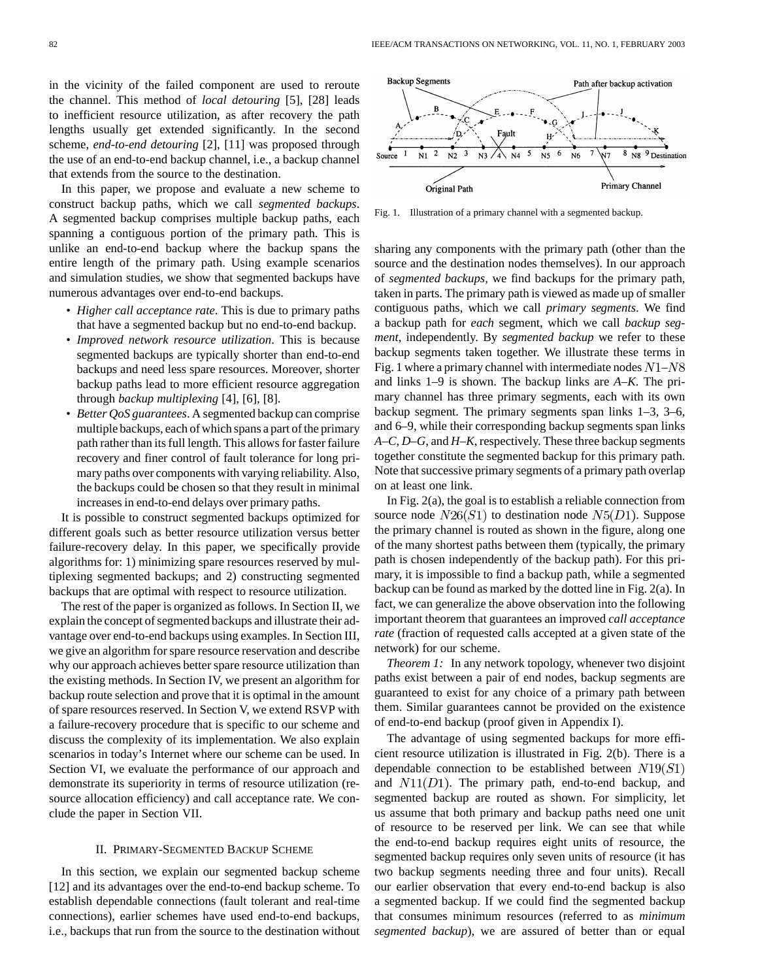in the vicinity of the failed component are used to reroute the channel. This method of *local detouring* [5], [28] leads to inefficient resource utilization, as after recovery the path lengths usually get extended significantly. In the second scheme, *end-to-end detouring* [2], [11] was proposed through the use of an end-to-end backup channel, i.e., a backup channel that extends from the source to the destination.

In this paper, we propose and evaluate a new scheme to construct backup paths, which we call *segmented backups*. A segmented backup comprises multiple backup paths, each spanning a contiguous portion of the primary path. This is unlike an end-to-end backup where the backup spans the entire length of the primary path. Using example scenarios and simulation studies, we show that segmented backups have numerous advantages over end-to-end backups.

- *Higher call acceptance rate*. This is due to primary paths that have a segmented backup but no end-to-end backup.
- *Improved network resource utilization*. This is because segmented backups are typically shorter than end-to-end backups and need less spare resources. Moreover, shorter backup paths lead to more efficient resource aggregation through *backup multiplexing* [4], [6], [8].
- *Better QoS guarantees*. A segmented backup can comprise multiple backups, each of which spans a part of the primary path rather than its full length. This allows for faster failure recovery and finer control of fault tolerance for long primary paths over components with varying reliability. Also, the backups could be chosen so that they result in minimal increases in end-to-end delays over primary paths.

It is possible to construct segmented backups optimized for different goals such as better resource utilization versus better failure-recovery delay. In this paper, we specifically provide algorithms for: 1) minimizing spare resources reserved by multiplexing segmented backups; and 2) constructing segmented backups that are optimal with respect to resource utilization.

The rest of the paper is organized as follows. In Section II, we explain the concept of segmented backups and illustrate their advantage over end-to-end backups using examples. In Section III, we give an algorithm for spare resource reservation and describe why our approach achieves better spare resource utilization than the existing methods. In Section IV, we present an algorithm for backup route selection and prove that it is optimal in the amount of spare resources reserved. In Section V, we extend RSVP with a failure-recovery procedure that is specific to our scheme and discuss the complexity of its implementation. We also explain scenarios in today's Internet where our scheme can be used. In Section VI, we evaluate the performance of our approach and demonstrate its superiority in terms of resource utilization (resource allocation efficiency) and call acceptance rate. We conclude the paper in Section VII.

### II. PRIMARY-SEGMENTED BACKUP SCHEME

In this section, we explain our segmented backup scheme [12] and its advantages over the end-to-end backup scheme. To establish dependable connections (fault tolerant and real-time connections), earlier schemes have used end-to-end backups, i.e., backups that run from the source to the destination without



Fig. 1. Illustration of a primary channel with a segmented backup.

sharing any components with the primary path (other than the source and the destination nodes themselves). In our approach of *segmented backups*, we find backups for the primary path, taken in parts. The primary path is viewed as made up of smaller contiguous paths, which we call *primary segments*. We find a backup path for *each* segment, which we call *backup segment*, independently. By *segmented backup* we refer to these backup segments taken together. We illustrate these terms in Fig. 1 where a primary channel with intermediate nodes  $N1-N8$ and links 1–9 is shown. The backup links are *A*–*K*. The primary channel has three primary segments, each with its own backup segment. The primary segments span links 1–3, 3–6, and 6–9, while their corresponding backup segments span links *A*–*C*, *D*–*G*, and *H*–*K*, respectively. These three backup segments together constitute the segmented backup for this primary path. Note that successive primary segments of a primary path overlap on at least one link.

In Fig. 2(a), the goal is to establish a reliable connection from source node  $N26(S1)$  to destination node  $N5(D1)$ . Suppose the primary channel is routed as shown in the figure, along one of the many shortest paths between them (typically, the primary path is chosen independently of the backup path). For this primary, it is impossible to find a backup path, while a segmented backup can be found as marked by the dotted line in Fig. 2(a). In fact, we can generalize the above observation into the following important theorem that guarantees an improved *call acceptance rate* (fraction of requested calls accepted at a given state of the network) for our scheme.

*Theorem 1:* In any network topology, whenever two disjoint paths exist between a pair of end nodes, backup segments are guaranteed to exist for any choice of a primary path between them. Similar guarantees cannot be provided on the existence of end-to-end backup (proof given in Appendix I).

The advantage of using segmented backups for more efficient resource utilization is illustrated in Fig. 2(b). There is a dependable connection to be established between  $N19(S1)$ and  $N11(D1)$ . The primary path, end-to-end backup, and segmented backup are routed as shown. For simplicity, let us assume that both primary and backup paths need one unit of resource to be reserved per link. We can see that while the end-to-end backup requires eight units of resource, the segmented backup requires only seven units of resource (it has two backup segments needing three and four units). Recall our earlier observation that every end-to-end backup is also a segmented backup. If we could find the segmented backup that consumes minimum resources (referred to as *minimum segmented backup*), we are assured of better than or equal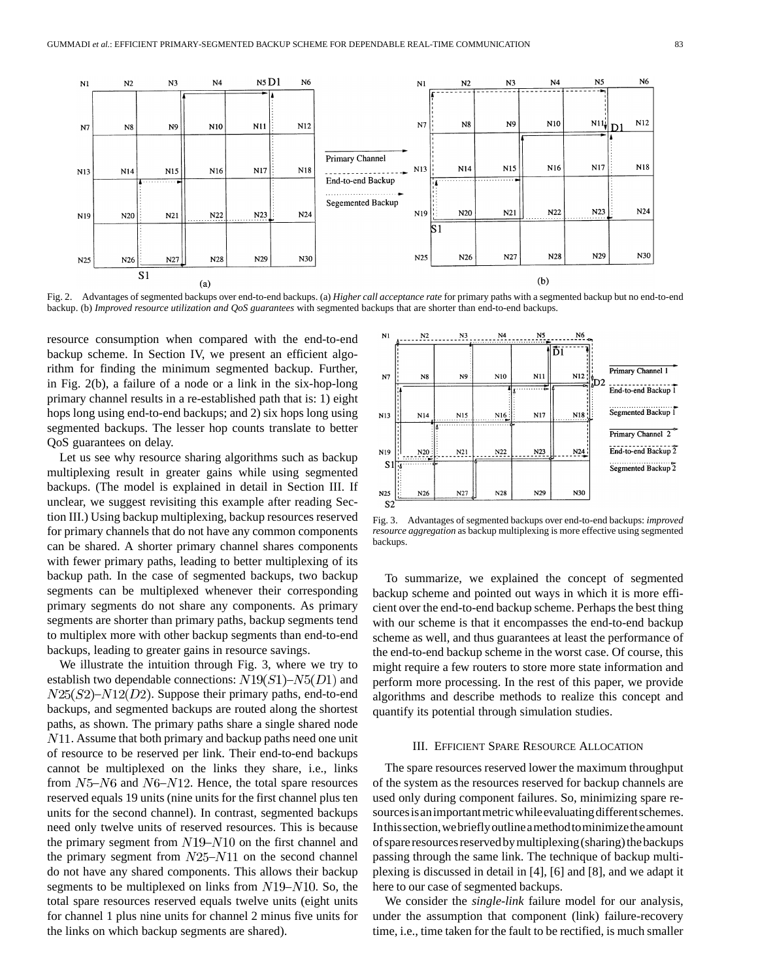

Fig. 2. Advantages of segmented backups over end-to-end backups. (a) *Higher call acceptance rate* for primary paths with a segmented backup but no end-to-end backup. (b) *Improved resource utilization and QoS guarantees* with segmented backups that are shorter than end-to-end backups.

resource consumption when compared with the end-to-end backup scheme. In Section IV, we present an efficient algorithm for finding the minimum segmented backup. Further, in Fig. 2(b), a failure of a node or a link in the six-hop-long primary channel results in a re-established path that is: 1) eight hops long using end-to-end backups; and 2) six hops long using segmented backups. The lesser hop counts translate to better QoS guarantees on delay.

Let us see why resource sharing algorithms such as backup multiplexing result in greater gains while using segmented backups. (The model is explained in detail in Section III. If unclear, we suggest revisiting this example after reading Section III.) Using backup multiplexing, backup resources reserved for primary channels that do not have any common components can be shared. A shorter primary channel shares components with fewer primary paths, leading to better multiplexing of its backup path. In the case of segmented backups, two backup segments can be multiplexed whenever their corresponding primary segments do not share any components. As primary segments are shorter than primary paths, backup segments tend to multiplex more with other backup segments than end-to-end backups, leading to greater gains in resource savings.

We illustrate the intuition through Fig. 3, where we try to establish two dependable connections:  $N19(S1) - N5(D1)$  and  $N25(S2) - N12(D2)$ . Suppose their primary paths, end-to-end backups, and segmented backups are routed along the shortest paths, as shown. The primary paths share a single shared node . Assume that both primary and backup paths need one unit of resource to be reserved per link. Their end-to-end backups cannot be multiplexed on the links they share, i.e., links from  $N5-N6$  and  $N6-N12$ . Hence, the total spare resources reserved equals 19 units (nine units for the first channel plus ten units for the second channel). In contrast, segmented backups need only twelve units of reserved resources. This is because the primary segment from  $N19-N10$  on the first channel and the primary segment from  $N25-N11$  on the second channel do not have any shared components. This allows their backup segments to be multiplexed on links from  $N19-N10$ . So, the total spare resources reserved equals twelve units (eight units for channel 1 plus nine units for channel 2 minus five units for the links on which backup segments are shared).



Fig. 3. Advantages of segmented backups over end-to-end backups: *improved resource aggregation* as backup multiplexing is more effective using segmented backups.

To summarize, we explained the concept of segmented backup scheme and pointed out ways in which it is more efficient over the end-to-end backup scheme. Perhaps the best thing with our scheme is that it encompasses the end-to-end backup scheme as well, and thus guarantees at least the performance of the end-to-end backup scheme in the worst case. Of course, this might require a few routers to store more state information and perform more processing. In the rest of this paper, we provide algorithms and describe methods to realize this concept and quantify its potential through simulation studies.

#### III. EFFICIENT SPARE RESOURCE ALLOCATION

The spare resources reserved lower the maximum throughput of the system as the resources reserved for backup channels are used only during component failures. So, minimizing spare resources is an important metric while evaluating different schemes. Inthissection,webrieflyoutlineamethodtominimizetheamount of spare resources reserved by multiplexing (sharing) the backups passing through the same link. The technique of backup multiplexing is discussed in detail in [4], [6] and [8], and we adapt it here to our case of segmented backups.

We consider the *single-link* failure model for our analysis, under the assumption that component (link) failure-recovery time, i.e., time taken for the fault to be rectified, is much smaller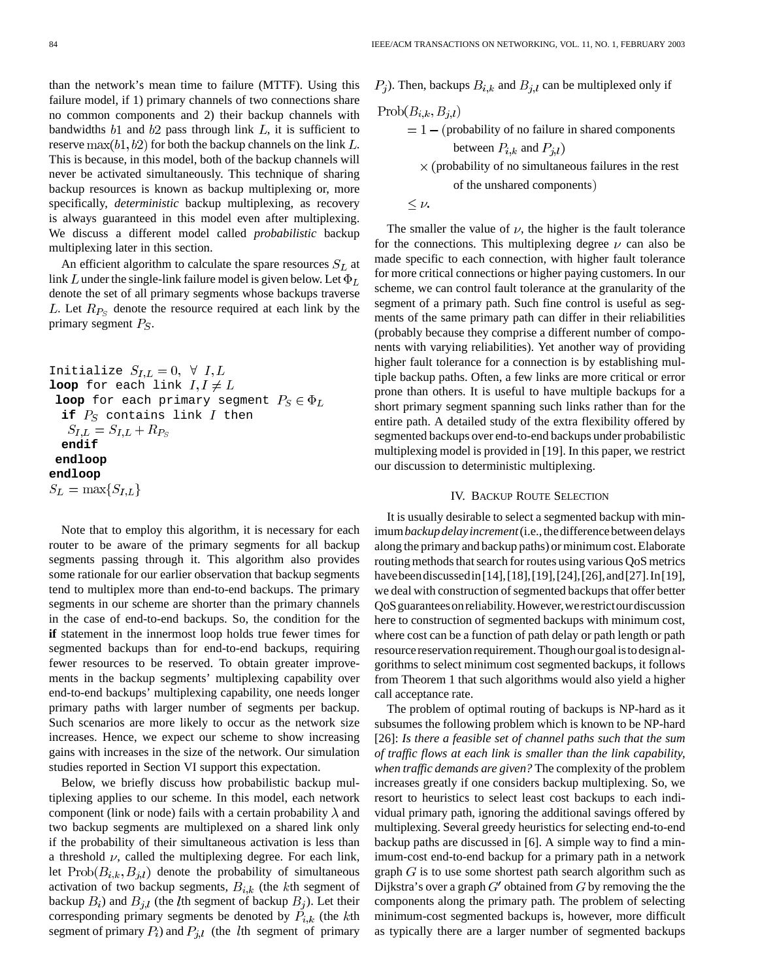than the network's mean time to failure (MTTF). Using this failure model, if 1) primary channels of two connections share no common components and 2) their backup channels with bandwidths  $b1$  and  $b2$  pass through link  $L$ , it is sufficient to reserve  $max(b1, b2)$  for both the backup channels on the link L. This is because, in this model, both of the backup channels will never be activated simultaneously. This technique of sharing backup resources is known as backup multiplexing or, more specifically, *deterministic* backup multiplexing, as recovery is always guaranteed in this model even after multiplexing. We discuss a different model called *probabilistic* backup multiplexing later in this section.

An efficient algorithm to calculate the spare resources  $S_L$  at link L under the single-link failure model is given below. Let  $\Phi_L$ denote the set of all primary segments whose backups traverse L. Let  $R_{P<sub>S</sub>}$  denote the resource required at each link by the primary segment  $P_S$ .

Initialize  $S_{I,L} = 0, \forall I, L$ **loop** for each link  $I, I \neq L$ **loop** for each primary segment  $P_S \in \Phi_L$ **if**  $P_S$  contains link  $I$  then<br> $S_{I,L} = S_{I,L} + R_{P_S}$ **endif endloop endloop**  $S_L = \max\{S_{I,L}\}\$ 

Note that to employ this algorithm, it is necessary for each router to be aware of the primary segments for all backup segments passing through it. This algorithm also provides some rationale for our earlier observation that backup segments tend to multiplex more than end-to-end backups. The primary segments in our scheme are shorter than the primary channels in the case of end-to-end backups. So, the condition for the **if** statement in the innermost loop holds true fewer times for segmented backups than for end-to-end backups, requiring fewer resources to be reserved. To obtain greater improvements in the backup segments' multiplexing capability over end-to-end backups' multiplexing capability, one needs longer primary paths with larger number of segments per backup. Such scenarios are more likely to occur as the network size increases. Hence, we expect our scheme to show increasing gains with increases in the size of the network. Our simulation studies reported in Section VI support this expectation.

Below, we briefly discuss how probabilistic backup multiplexing applies to our scheme. In this model, each network component (link or node) fails with a certain probability  $\lambda$  and two backup segments are multiplexed on a shared link only if the probability of their simultaneous activation is less than a threshold  $\nu$ , called the multiplexing degree. For each link, let  $\text{Prob}(B_{i,k}, B_{i,l})$  denote the probability of simultaneous activation of two backup segments,  $B_{i,k}$  (the kth segment of backup  $B_i$ ) and  $B_{j,l}$  (the *l*th segment of backup  $B_j$ ). Let their corresponding primary segments be denoted by  $P_{i,k}$  (the kth segment of primary  $P_i$ ) and  $P_{j,l}$  (the *l*th segment of primary

 $P_j$ ). Then, backups  $B_{i,k}$  and  $B_{j,l}$  can be multiplexed only if

$$
b(B_{i,k}, B_{j,l})
$$
  
= 1 – (probability of no failure in shared components  
between  $P_{i,k}$  and  $P_{j,l}$ )  
 $\times$  (probability of no simultaneous failures in the rest

of the unshared components

 $\leq \nu$ .

 $Pro$ 

The smaller the value of  $\nu$ , the higher is the fault tolerance for the connections. This multiplexing degree  $\nu$  can also be made specific to each connection, with higher fault tolerance for more critical connections or higher paying customers. In our scheme, we can control fault tolerance at the granularity of the segment of a primary path. Such fine control is useful as segments of the same primary path can differ in their reliabilities (probably because they comprise a different number of components with varying reliabilities). Yet another way of providing higher fault tolerance for a connection is by establishing multiple backup paths. Often, a few links are more critical or error prone than others. It is useful to have multiple backups for a short primary segment spanning such links rather than for the entire path. A detailed study of the extra flexibility offered by segmented backups over end-to-end backups under probabilistic multiplexing model is provided in [19]. In this paper, we restrict our discussion to deterministic multiplexing.

# IV. BACKUP ROUTE SELECTION

It is usually desirable to select a segmented backup with minimum *backup delay increment* (i.e., the difference between delays along the primary and backup paths) or minimum cost. Elaborate routing methods that search for routes using various QoS metrics have been discussed in [14], [18], [19], [24], [26], and [27]. In [19], we deal with construction of segmented backups that offer better QoS guarantees on reliability. However, we restrict our discussion here to construction of segmented backups with minimum cost, where cost can be a function of path delay or path length or path resource reservation requirement. Though our goal is to design algorithms to select minimum cost segmented backups, it follows from Theorem 1 that such algorithms would also yield a higher call acceptance rate.

The problem of optimal routing of backups is NP-hard as it subsumes the following problem which is known to be NP-hard [26]: *Is there a feasible set of channel paths such that the sum of traffic flows at each link is smaller than the link capability, when traffic demands are given?* The complexity of the problem increases greatly if one considers backup multiplexing. So, we resort to heuristics to select least cost backups to each individual primary path, ignoring the additional savings offered by multiplexing. Several greedy heuristics for selecting end-to-end backup paths are discussed in [6]. A simple way to find a minimum-cost end-to-end backup for a primary path in a network graph  $G$  is to use some shortest path search algorithm such as Dijkstra's over a graph  $G'$  obtained from  $G$  by removing the the components along the primary path. The problem of selecting minimum-cost segmented backups is, however, more difficult as typically there are a larger number of segmented backups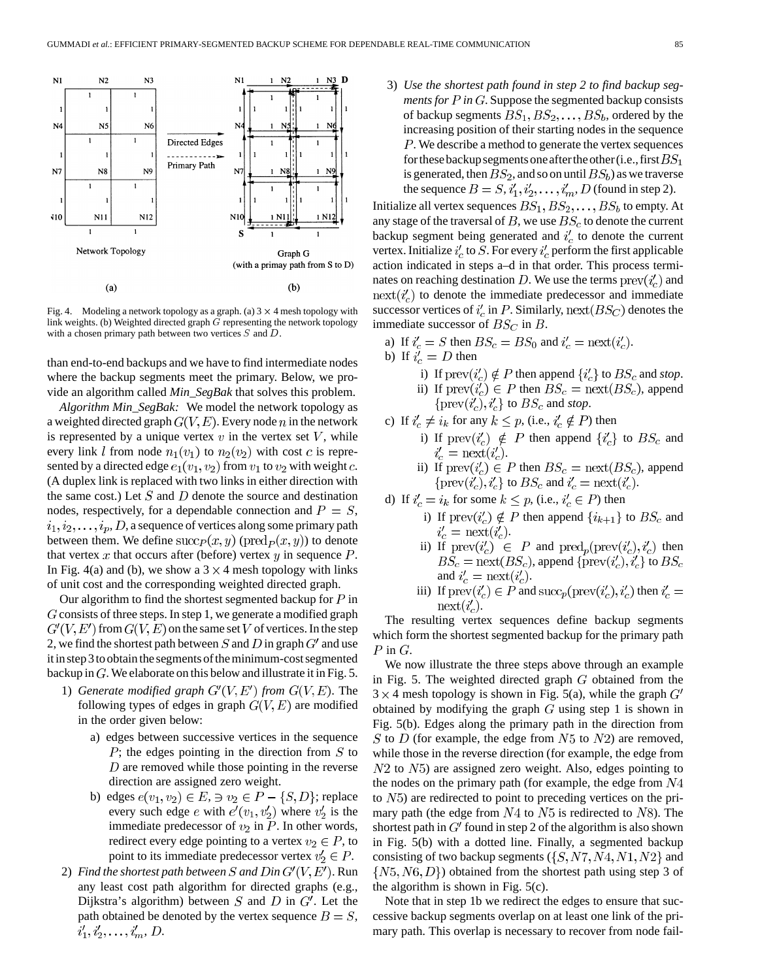

Fig. 4. Modeling a network topology as a graph. (a)  $3 \times 4$  mesh topology with link weights. (b) Weighted directed graph G representing the network topology with a chosen primary path between two vertices  $S$  and  $D$ .

than end-to-end backups and we have to find intermediate nodes where the backup segments meet the primary. Below, we provide an algorithm called *Min\_SegBak* that solves this problem.

*Algorithm Min\_SegBak:* We model the network topology as a weighted directed graph  $G(V, E)$ . Every node n in the network is represented by a unique vertex  $v$  in the vertex set  $V$ , while every link *l* from node  $n_1(v_1)$  to  $n_2(v_2)$  with cost *c* is represented by a directed edge  $e_1(v_1, v_2)$  from  $v_1$  to  $v_2$  with weight c. (A duplex link is replaced with two links in either direction with the same cost.) Let  $S$  and  $D$  denote the source and destination nodes, respectively, for a dependable connection and  $P = S$ ,  $i_1, i_2, \ldots, i_p, D$ , a sequence of vertices along some primary path between them. We define  $succ_P(x, y)$  ( $pred_P(x, y)$ ) to denote that vertex x that occurs after (before) vertex y in sequence  $P$ . In Fig. 4(a) and (b), we show a  $3 \times 4$  mesh topology with links of unit cost and the corresponding weighted directed graph.

Our algorithm to find the shortest segmented backup for  $P$  in  $G$  consists of three steps. In step 1, we generate a modified graph  $G'(V, E')$  from  $G(V, E)$  on the same set V of vertices. In the step 2, we find the shortest path between S and D in graph  $G'$  and use it in step3 to obtain the segments of the minimum-cost segmented backup in  $G$ . We elaborate on this below and illustrate it in Fig. 5.

- 1) *Generate modified graph*  $G'(V, E')$  *from*  $G(V, E)$ . The following types of edges in graph  $G(V, E)$  are modified in the order given below:
	- a) edges between successive vertices in the sequence  $P$ ; the edges pointing in the direction from  $S$  to  $D$  are removed while those pointing in the reverse direction are assigned zero weight.
	- b) edges  $e(v_1, v_2) \in E$ ,  $\ni v_2 \in P \{S, D\}$ ; replace every such edge e with  $e'(v_1, v_2')$  where  $v_2'$  is the immediate predecessor of  $v_2$  in  $P$ . In other words, redirect every edge pointing to a vertex  $v_2 \in P$ , to point to its immediate predecessor vertex  $v'_2 \in P$ .
- 2) *Find the shortest path between S* and *Din*  $G'(V, E')$ *.* Run any least cost path algorithm for directed graphs (e.g., Dijkstra's algorithm) between  $S$  and  $D$  in  $G'$ . Let the path obtained be denoted by the vertex sequence  $B = S$ ,  $i'_1, i'_2, \ldots, i'_m, D.$

3) *Use the shortest path found in step 2 to find backup segments for*  $P$  in  $G$ . Suppose the segmented backup consists of backup segments  $BS_1, BS_2, \ldots, BS_b$ , ordered by the increasing position of their starting nodes in the sequence . We describe a method to generate the vertex sequences for these backup segments one after the other (i.e., first  $BS_1$ ) is generated, then  $BS_2$ , and so on until  $BS_b$ ) as we traverse the sequence  $B = S$ ,  $i'_1, i'_2, \ldots, i'_m, D$  (found in step 2).

Initialize all vertex sequences  $BS_1, BS_2, \ldots, BS_b$  to empty. At any stage of the traversal of  $B$ , we use  $BS<sub>c</sub>$  to denote the current backup segment being generated and  $i_c$  to denote the current vertex. Initialize  $i'_{c}$  to S. For every  $i'_{c}$  perform the first applicable action indicated in steps a–d in that order. This process terminates on reaching destination D. We use the terms  $prev(i'_c)$  and  $next(i')$  to denote the immediate predecessor and immediate successor vertices of  $i'_c$  in P. Similarly, next $(BS_C)$  denotes the immediate successor of  $BS_C$  in  $B$ .

- a) If  $i'_c = S$  then  $BS_c = BS_0$  and  $i'_c = \text{next}(i'_c)$ .
- b) If  $i'_c = D$  then
	- i) If  $\text{prev}(i'_c) \notin P$  then append  $\{i'_c\}$  to  $BS_c$  and *stop*. ii) If  $\text{prev}(i'_c) \in P$  then  $BS_c = \text{next}(BS_c)$ , append  $\{ \text{prev}(i'_c), i'_c \}$  to  $BS_c$  and *stop*.
- c) If  $i'_{c} \neq i_{k}$  for any  $k \leq p$ , (i.e.,  $i'_{c} \notin P$ ) then
	- i) If  $prev(i'_c) \notin P$  then append  $\{i'_c\}$  to  $BS_c$  and  $i'_{c} = \operatorname{next}(i'_{c}).$ 
		- ii) If  $\text{prev}(i'_c) \in P$  then  $BS_c = \text{next}(BS_c)$ , append { $\text{prev}(i'_c), i'_c$ } to  $BS_c$  and  $i'_c = \text{next}(i'_c)$ .
- d) If  $i'_c = i_k$  for some  $k \leq p$ , (i.e.,  $i'_c \in P$ ) then
	- i) If  $\text{prev}(i'_c) \notin P$  then append  $\{i_{k+1}\}\text{ to } BS_c$  and  $i'_c = \operatorname{next}(i'_c).$
	- ii) If  $\text{prev}(i'_c) \in P$  and  $\text{pred}_p(\text{prev}(i'_c), i'_c)$  then  $BS_c = \text{next}(BS_c)$ , append  $\{\text{prev}(i'_c), i'_c\}$  to  $BS_c$ and  $i'_c = \operatorname{next}(i'_c)$ .
	- and  $i_c$   $\text{next}(i_c)$ .<br>iii) If  $\text{prev}(i_c') \in P$  and  $\text{succ}_p(\text{prev}(i_c'), i_c')$  then  $i_c' =$  $\text{next}(i'_c)$ .

The resulting vertex sequences define backup segments which form the shortest segmented backup for the primary path  $P$  in  $G$ .

We now illustrate the three steps above through an example in Fig. 5. The weighted directed graph  $G$  obtained from the  $3 \times 4$  mesh topology is shown in Fig. 5(a), while the graph  $G'$ obtained by modifying the graph  $G$  using step 1 is shown in Fig. 5(b). Edges along the primary path in the direction from S to D (for example, the edge from  $N5$  to  $N2$ ) are removed, while those in the reverse direction (for example, the edge from  $N2$  to  $N5$ ) are assigned zero weight. Also, edges pointing to the nodes on the primary path (for example, the edge from  $N4$ to  $N5$ ) are redirected to point to preceding vertices on the primary path (the edge from  $N4$  to  $N5$  is redirected to  $N8$ ). The shortest path in  $G'$  found in step 2 of the algorithm is also shown in Fig. 5(b) with a dotted line. Finally, a segmented backup consisting of two backup segments  $({S, N7, N4, N1, N2}$  and  $\{N5, N6, D\}$ ) obtained from the shortest path using step 3 of the algorithm is shown in Fig. 5(c).

Note that in step 1b we redirect the edges to ensure that successive backup segments overlap on at least one link of the primary path. This overlap is necessary to recover from node fail-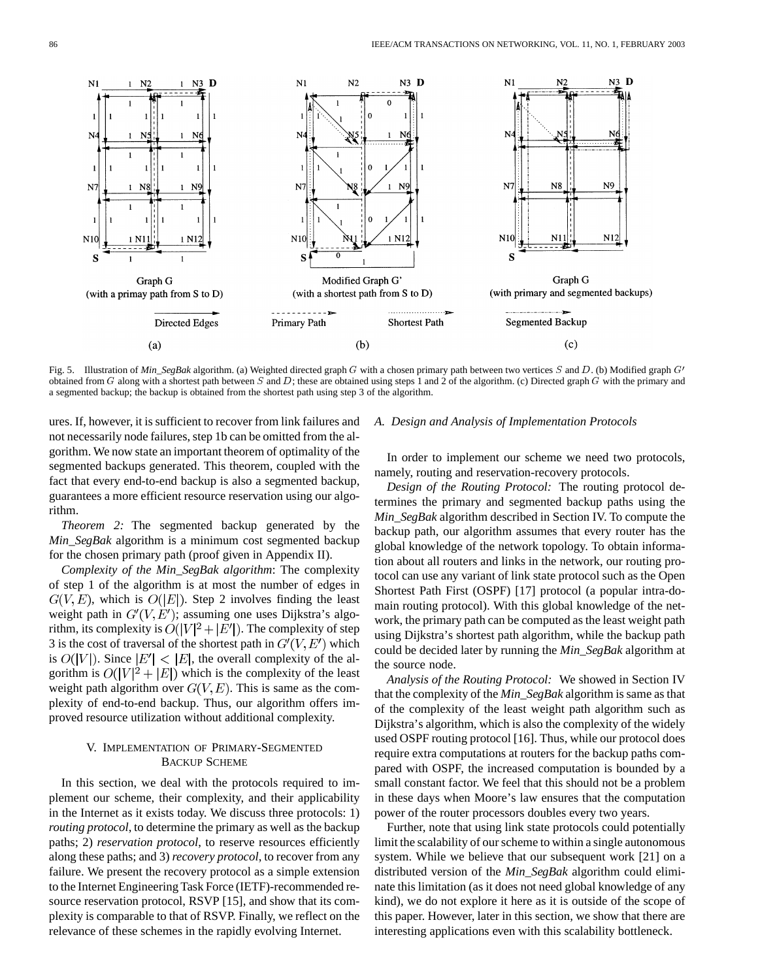

Fig. 5. Illustration of *Min* SegBak algorithm. (a) Weighted directed graph G with a chosen primary path between two vertices S and D. (b) Modified graph G' obtained from G along with a shortest path between  $S$  and  $D$ ; these are obtained using steps 1 and 2 of the algorithm. (c) Directed graph G with the primary and a segmented backup; the backup is obtained from the shortest path using step 3 of the algorithm.

ures. If, however, it is sufficient to recover from link failures and not necessarily node failures, step 1b can be omitted from the algorithm. We now state an important theorem of optimality of the segmented backups generated. This theorem, coupled with the fact that every end-to-end backup is also a segmented backup, guarantees a more efficient resource reservation using our algorithm.

*Theorem 2:* The segmented backup generated by the *Min\_SegBak* algorithm is a minimum cost segmented backup for the chosen primary path (proof given in Appendix II).

*Complexity of the Min\_SegBak algorithm*: The complexity of step 1 of the algorithm is at most the number of edges in  $G(V, E)$ , which is  $O(|E|)$ . Step 2 involves finding the least weight path in  $G'(V, E')$ ; assuming one uses Dijkstra's algorithm, its complexity is  $O(|V|^2 + |E'|)$ . The complexity of step 3 is the cost of traversal of the shortest path in  $G'(V, E')$  which is  $O(|V|)$ . Since  $|E'| < |E|$ , the overall complexity of the algorithm is  $O(|V|^2 + |E|)$  which is the complexity of the least weight path algorithm over  $G(V, E)$ . This is same as the complexity of end-to-end backup. Thus, our algorithm offers improved resource utilization without additional complexity.

# V. IMPLEMENTATION OF PRIMARY-SEGMENTED BACKUP SCHEME

In this section, we deal with the protocols required to implement our scheme, their complexity, and their applicability in the Internet as it exists today. We discuss three protocols: 1) *routing protocol*, to determine the primary as well as the backup paths; 2) *reservation protocol*, to reserve resources efficiently along these paths; and 3) *recovery protocol*, to recover from any failure. We present the recovery protocol as a simple extension to the Internet Engineering Task Force (IETF)-recommended resource reservation protocol, RSVP [15], and show that its complexity is comparable to that of RSVP. Finally, we reflect on the relevance of these schemes in the rapidly evolving Internet.

# *A. Design and Analysis of Implementation Protocols*

In order to implement our scheme we need two protocols, namely, routing and reservation-recovery protocols.

*Design of the Routing Protocol:* The routing protocol determines the primary and segmented backup paths using the *Min\_SegBak* algorithm described in Section IV. To compute the backup path, our algorithm assumes that every router has the global knowledge of the network topology. To obtain information about all routers and links in the network, our routing protocol can use any variant of link state protocol such as the Open Shortest Path First (OSPF) [17] protocol (a popular intra-domain routing protocol). With this global knowledge of the network, the primary path can be computed as the least weight path using Dijkstra's shortest path algorithm, while the backup path could be decided later by running the *Min\_SegBak* algorithm at the source node.

*Analysis of the Routing Protocol:* We showed in Section IV that the complexity of the *Min\_SegBak* algorithm is same as that of the complexity of the least weight path algorithm such as Dijkstra's algorithm, which is also the complexity of the widely used OSPF routing protocol [16]. Thus, while our protocol does require extra computations at routers for the backup paths compared with OSPF, the increased computation is bounded by a small constant factor. We feel that this should not be a problem in these days when Moore's law ensures that the computation power of the router processors doubles every two years.

Further, note that using link state protocols could potentially limit the scalability of our scheme to within a single autonomous system. While we believe that our subsequent work [21] on a distributed version of the *Min\_SegBak* algorithm could eliminate this limitation (as it does not need global knowledge of any kind), we do not explore it here as it is outside of the scope of this paper. However, later in this section, we show that there are interesting applications even with this scalability bottleneck.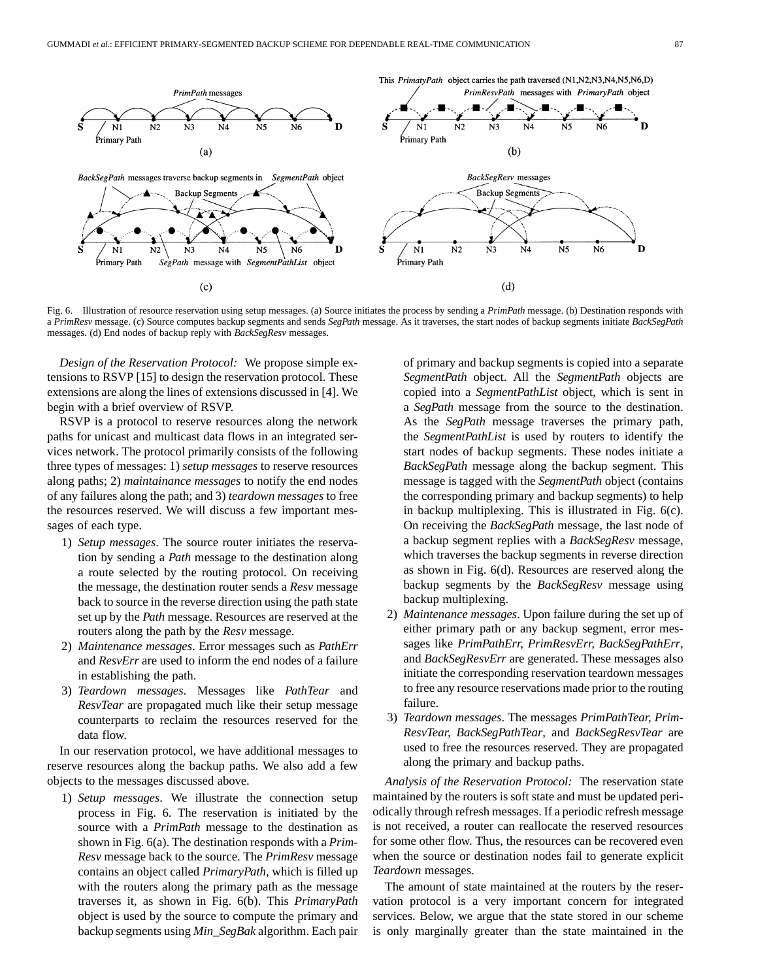

Fig. 6. Illustration of resource reservation using setup messages. (a) Source initiates the process by sending a *PrimPath* message. (b) Destination responds with a *PrimResv* message. (c) Source computes backup segments and sends *SegPath* message. As it traverses, the start nodes of backup segments initiate *BackSegPath* messages. (d) End nodes of backup reply with *BackSegResv* messages.

*Design of the Reservation Protocol:* We propose simple extensions to RSVP [15] to design the reservation protocol. These extensions are along the lines of extensions discussed in [4]. We begin with a brief overview of RSVP.

RSVP is a protocol to reserve resources along the network paths for unicast and multicast data flows in an integrated services network. The protocol primarily consists of the following three types of messages: 1) *setup messages* to reserve resources along paths; 2) *maintainance messages* to notify the end nodes of any failures along the path; and 3) *teardown messages* to free the resources reserved. We will discuss a few important messages of each type.

- 1) *Setup messages*. The source router initiates the reservation by sending a *Path* message to the destination along a route selected by the routing protocol. On receiving the message, the destination router sends a *Resv* message back to source in the reverse direction using the path state set up by the *Path* message. Resources are reserved at the routers along the path by the *Resv* message.
- 2) *Maintenance messages*. Error messages such as *PathErr* and *ResvErr* are used to inform the end nodes of a failure in establishing the path.
- 3) *Teardown messages*. Messages like *PathTear* and *ResvTear* are propagated much like their setup message counterparts to reclaim the resources reserved for the data flow.

In our reservation protocol, we have additional messages to reserve resources along the backup paths. We also add a few objects to the messages discussed above.

1) *Setup messages*. We illustrate the connection setup process in Fig. 6. The reservation is initiated by the source with a *PrimPath* message to the destination as shown in Fig. 6(a). The destination responds with a *Prim-Resv* message back to the source. The *PrimResv* message contains an object called *PrimaryPath*, which is filled up with the routers along the primary path as the message traverses it, as shown in Fig. 6(b). This *PrimaryPath* object is used by the source to compute the primary and backup segments using *Min\_SegBak* algorithm. Each pair

of primary and backup segments is copied into a separate *SegmentPath* object. All the *SegmentPath* objects are copied into a *SegmentPathList* object, which is sent in a *SegPath* message from the source to the destination. As the *SegPath* message traverses the primary path, the *SegmentPathList* is used by routers to identify the start nodes of backup segments. These nodes initiate a *BackSegPath* message along the backup segment. This message is tagged with the *SegmentPath* object (contains the corresponding primary and backup segments) to help in backup multiplexing. This is illustrated in Fig. 6(c). On receiving the *BackSegPath* message, the last node of a backup segment replies with a *BackSegResv* message, which traverses the backup segments in reverse direction as shown in Fig. 6(d). Resources are reserved along the backup segments by the *BackSegResv* message using backup multiplexing.

- 2) *Maintenance messages*. Upon failure during the set up of either primary path or any backup segment, error messages like *PrimPathErr, PrimResvErr, BackSegPathErr*, and *BackSegResvErr* are generated. These messages also initiate the corresponding reservation teardown messages to free any resource reservations made prior to the routing failure.
- 3) *Teardown messages*. The messages *PrimPathTear, Prim-ResvTear, BackSegPathTear*, and *BackSegResvTear* are used to free the resources reserved. They are propagated along the primary and backup paths.

*Analysis of the Reservation Protocol:* The reservation state maintained by the routers is soft state and must be updated periodically through refresh messages. If a periodic refresh message is not received, a router can reallocate the reserved resources for some other flow. Thus, the resources can be recovered even when the source or destination nodes fail to generate explicit *Teardown* messages.

The amount of state maintained at the routers by the reservation protocol is a very important concern for integrated services. Below, we argue that the state stored in our scheme is only marginally greater than the state maintained in the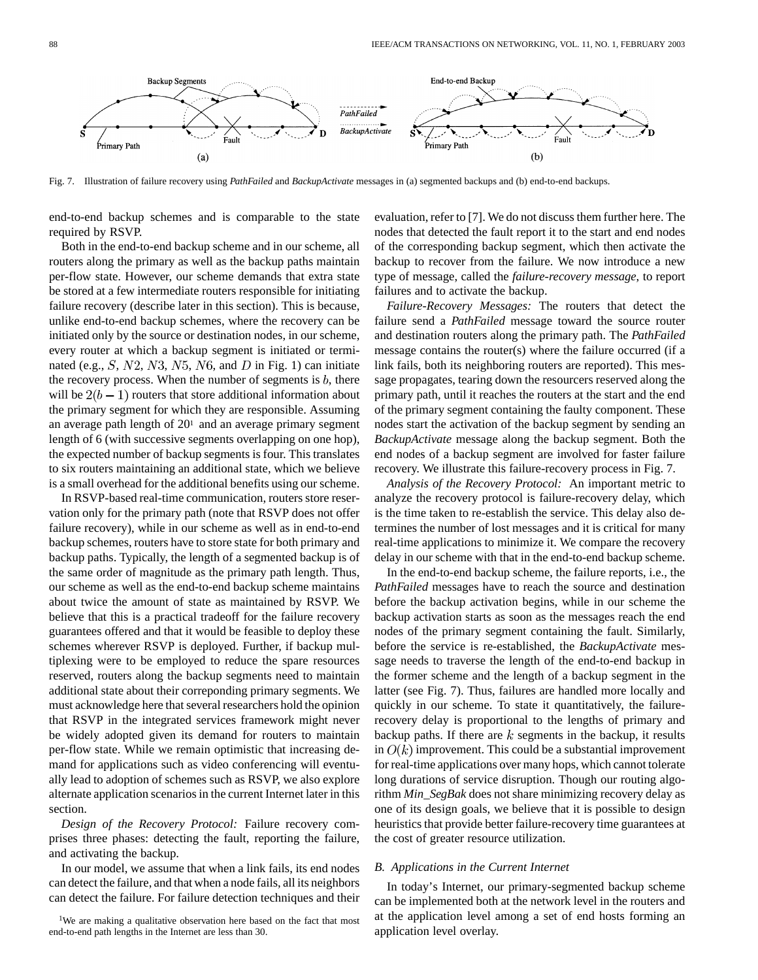

Fig. 7. Illustration of failure recovery using *PathFailed* and *BackupActivate* messages in (a) segmented backups and (b) end-to-end backups.

end-to-end backup schemes and is comparable to the state required by RSVP.

Both in the end-to-end backup scheme and in our scheme, all routers along the primary as well as the backup paths maintain per-flow state. However, our scheme demands that extra state be stored at a few intermediate routers responsible for initiating failure recovery (describe later in this section). This is because, unlike end-to-end backup schemes, where the recovery can be initiated only by the source or destination nodes, in our scheme, every router at which a backup segment is initiated or terminated (e.g.,  $S$ ,  $N2$ ,  $N3$ ,  $N5$ ,  $N6$ , and  $D$  in Fig. 1) can initiate the recovery process. When the number of segments is  $b$ , there will be  $2(b-1)$  routers that store additional information about the primary segment for which they are responsible. Assuming an average path length of  $20<sup>1</sup>$  and an average primary segment length of 6 (with successive segments overlapping on one hop), the expected number of backup segments is four. This translates to six routers maintaining an additional state, which we believe is a small overhead for the additional benefits using our scheme.

In RSVP-based real-time communication, routers store reservation only for the primary path (note that RSVP does not offer failure recovery), while in our scheme as well as in end-to-end backup schemes, routers have to store state for both primary and backup paths. Typically, the length of a segmented backup is of the same order of magnitude as the primary path length. Thus, our scheme as well as the end-to-end backup scheme maintains about twice the amount of state as maintained by RSVP. We believe that this is a practical tradeoff for the failure recovery guarantees offered and that it would be feasible to deploy these schemes wherever RSVP is deployed. Further, if backup multiplexing were to be employed to reduce the spare resources reserved, routers along the backup segments need to maintain additional state about their correponding primary segments. We must acknowledge here that several researchers hold the opinion that RSVP in the integrated services framework might never be widely adopted given its demand for routers to maintain per-flow state. While we remain optimistic that increasing demand for applications such as video conferencing will eventually lead to adoption of schemes such as RSVP, we also explore alternate application scenarios in the current Internet later in this section.

*Design of the Recovery Protocol:* Failure recovery comprises three phases: detecting the fault, reporting the failure, and activating the backup.

In our model, we assume that when a link fails, its end nodes can detect the failure, and that when a node fails, all its neighbors can detect the failure. For failure detection techniques and their

<sup>1</sup>We are making a qualitative observation here based on the fact that most end-to-end path lengths in the Internet are less than 30.

evaluation, refer to [7]. We do not discuss them further here. The nodes that detected the fault report it to the start and end nodes of the corresponding backup segment, which then activate the backup to recover from the failure. We now introduce a new type of message, called the *failure-recovery message*, to report failures and to activate the backup.

*Failure-Recovery Messages:* The routers that detect the failure send a *PathFailed* message toward the source router and destination routers along the primary path. The *PathFailed* message contains the router(s) where the failure occurred (if a link fails, both its neighboring routers are reported). This message propagates, tearing down the resourcers reserved along the primary path, until it reaches the routers at the start and the end of the primary segment containing the faulty component. These nodes start the activation of the backup segment by sending an *BackupActivate* message along the backup segment. Both the end nodes of a backup segment are involved for faster failure recovery. We illustrate this failure-recovery process in Fig. 7.

*Analysis of the Recovery Protocol:* An important metric to analyze the recovery protocol is failure-recovery delay, which is the time taken to re-establish the service. This delay also determines the number of lost messages and it is critical for many real-time applications to minimize it. We compare the recovery delay in our scheme with that in the end-to-end backup scheme.

In the end-to-end backup scheme, the failure reports, i.e., the *PathFailed* messages have to reach the source and destination before the backup activation begins, while in our scheme the backup activation starts as soon as the messages reach the end nodes of the primary segment containing the fault. Similarly, before the service is re-established, the *BackupActivate* message needs to traverse the length of the end-to-end backup in the former scheme and the length of a backup segment in the latter (see Fig. 7). Thus, failures are handled more locally and quickly in our scheme. To state it quantitatively, the failurerecovery delay is proportional to the lengths of primary and backup paths. If there are  $k$  segments in the backup, it results in  $O(k)$  improvement. This could be a substantial improvement for real-time applications over many hops, which cannot tolerate long durations of service disruption. Though our routing algorithm *Min\_SegBak* does not share minimizing recovery delay as one of its design goals, we believe that it is possible to design heuristics that provide better failure-recovery time guarantees at the cost of greater resource utilization.

### *B. Applications in the Current Internet*

In today's Internet, our primary-segmented backup scheme can be implemented both at the network level in the routers and at the application level among a set of end hosts forming an application level overlay.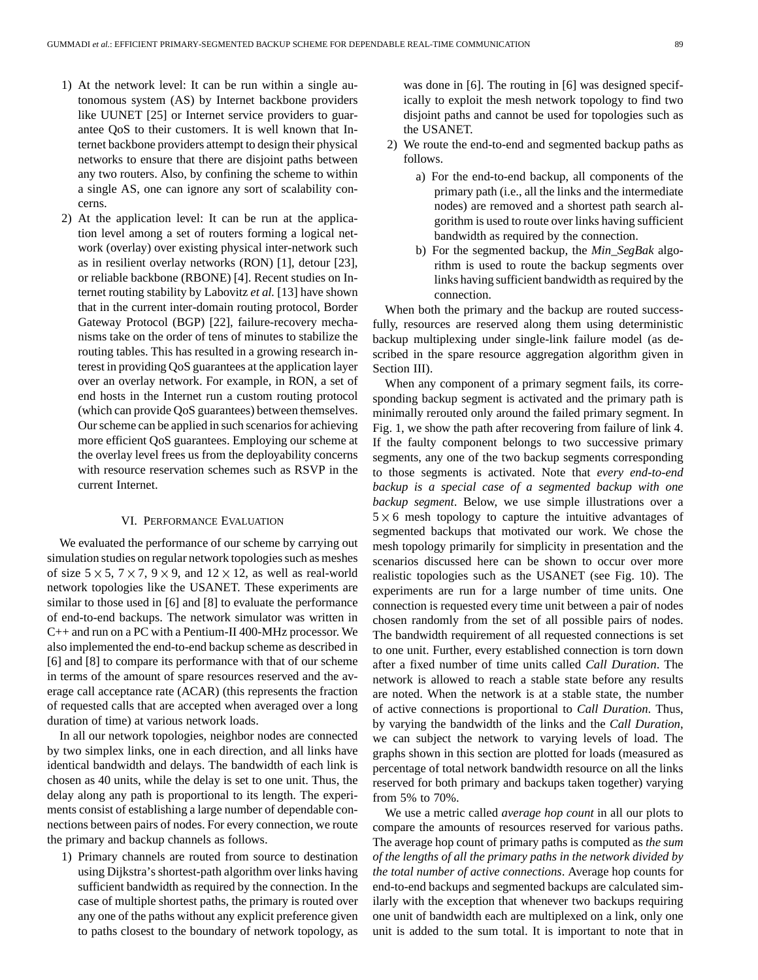- 1) At the network level: It can be run within a single autonomous system (AS) by Internet backbone providers like UUNET [25] or Internet service providers to guarantee QoS to their customers. It is well known that Internet backbone providers attempt to design their physical networks to ensure that there are disjoint paths between any two routers. Also, by confining the scheme to within a single AS, one can ignore any sort of scalability concerns.
- 2) At the application level: It can be run at the application level among a set of routers forming a logical network (overlay) over existing physical inter-network such as in resilient overlay networks (RON) [1], detour [23], or reliable backbone (RBONE) [4]. Recent studies on Internet routing stability by Labovitz *et al.* [13] have shown that in the current inter-domain routing protocol, Border Gateway Protocol (BGP) [22], failure-recovery mechanisms take on the order of tens of minutes to stabilize the routing tables. This has resulted in a growing research interest in providing QoS guarantees at the application layer over an overlay network. For example, in RON, a set of end hosts in the Internet run a custom routing protocol (which can provide QoS guarantees) between themselves. Our scheme can be applied in such scenarios for achieving more efficient QoS guarantees. Employing our scheme at the overlay level frees us from the deployability concerns with resource reservation schemes such as RSVP in the current Internet.

#### VI. PERFORMANCE EVALUATION

We evaluated the performance of our scheme by carrying out simulation studies on regular network topologies such as meshes of size  $5 \times 5$ ,  $7 \times 7$ ,  $9 \times 9$ , and  $12 \times 12$ , as well as real-world network topologies like the USANET. These experiments are similar to those used in [6] and [8] to evaluate the performance of end-to-end backups. The network simulator was written in C++ and run on a PC with a Pentium-II 400-MHz processor. We also implemented the end-to-end backup scheme as described in [6] and [8] to compare its performance with that of our scheme in terms of the amount of spare resources reserved and the average call acceptance rate (ACAR) (this represents the fraction of requested calls that are accepted when averaged over a long duration of time) at various network loads.

In all our network topologies, neighbor nodes are connected by two simplex links, one in each direction, and all links have identical bandwidth and delays. The bandwidth of each link is chosen as 40 units, while the delay is set to one unit. Thus, the delay along any path is proportional to its length. The experiments consist of establishing a large number of dependable connections between pairs of nodes. For every connection, we route the primary and backup channels as follows.

1) Primary channels are routed from source to destination using Dijkstra's shortest-path algorithm over links having sufficient bandwidth as required by the connection. In the case of multiple shortest paths, the primary is routed over any one of the paths without any explicit preference given to paths closest to the boundary of network topology, as

was done in [6]. The routing in [6] was designed specifically to exploit the mesh network topology to find two disjoint paths and cannot be used for topologies such as the USANET.

- 2) We route the end-to-end and segmented backup paths as follows.
	- a) For the end-to-end backup, all components of the primary path (i.e., all the links and the intermediate nodes) are removed and a shortest path search algorithm is used to route over links having sufficient bandwidth as required by the connection.
	- b) For the segmented backup, the *Min\_SegBak* algorithm is used to route the backup segments over links having sufficient bandwidth as required by the connection.

When both the primary and the backup are routed successfully, resources are reserved along them using deterministic backup multiplexing under single-link failure model (as described in the spare resource aggregation algorithm given in Section III).

When any component of a primary segment fails, its corresponding backup segment is activated and the primary path is minimally rerouted only around the failed primary segment. In Fig. 1, we show the path after recovering from failure of link 4. If the faulty component belongs to two successive primary segments, any one of the two backup segments corresponding to those segments is activated. Note that *every end-to-end backup is a special case of a segmented backup with one backup segment*. Below, we use simple illustrations over a  $5 \times 6$  mesh topology to capture the intuitive advantages of segmented backups that motivated our work. We chose the mesh topology primarily for simplicity in presentation and the scenarios discussed here can be shown to occur over more realistic topologies such as the USANET (see Fig. 10). The experiments are run for a large number of time units. One connection is requested every time unit between a pair of nodes chosen randomly from the set of all possible pairs of nodes. The bandwidth requirement of all requested connections is set to one unit. Further, every established connection is torn down after a fixed number of time units called *Call Duration*. The network is allowed to reach a stable state before any results are noted. When the network is at a stable state, the number of active connections is proportional to *Call Duration*. Thus, by varying the bandwidth of the links and the *Call Duration*, we can subject the network to varying levels of load. The graphs shown in this section are plotted for loads (measured as percentage of total network bandwidth resource on all the links reserved for both primary and backups taken together) varying from 5% to 70%.

We use a metric called *average hop count* in all our plots to compare the amounts of resources reserved for various paths. The average hop count of primary paths is computed as *the sum of the lengths of all the primary paths in the network divided by the total number of active connections*. Average hop counts for end-to-end backups and segmented backups are calculated similarly with the exception that whenever two backups requiring one unit of bandwidth each are multiplexed on a link, only one unit is added to the sum total. It is important to note that in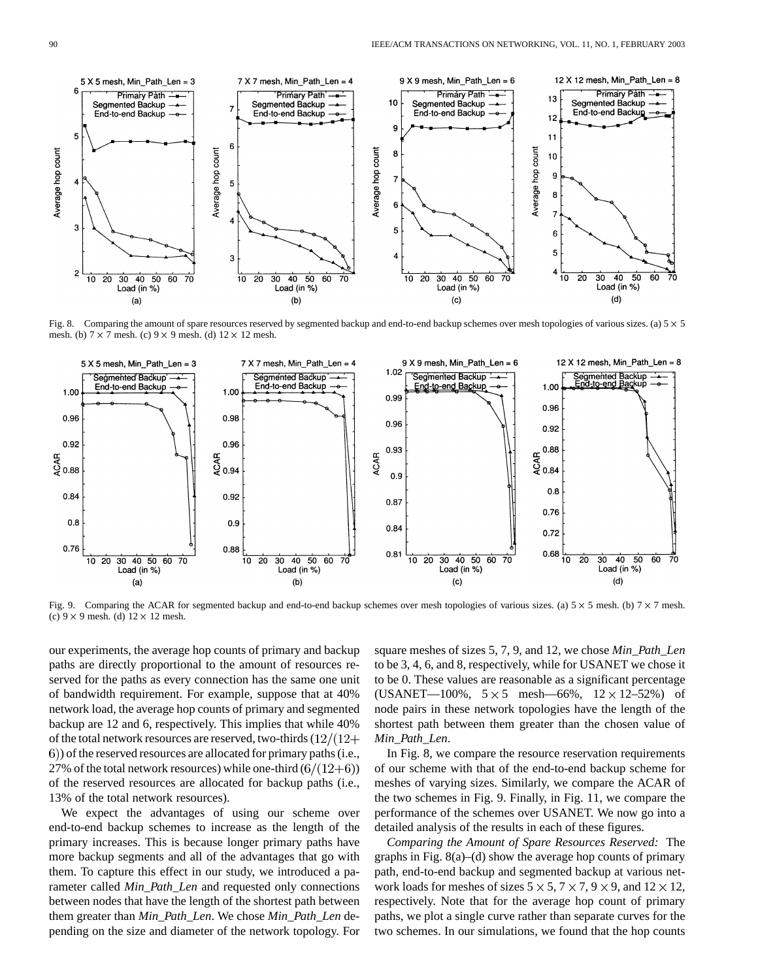

Fig. 8. Comparing the amount of spare resources reserved by segmented backup and end-to-end backup schemes over mesh topologies of various sizes. (a)  $5 \times 5$ mesh. (b)  $7 \times 7$  mesh. (c)  $9 \times 9$  mesh. (d)  $12 \times 12$  mesh.



Fig. 9. Comparing the ACAR for segmented backup and end-to-end backup schemes over mesh topologies of various sizes. (a)  $5 \times 5$  mesh. (b)  $7 \times 7$  mesh.  $(c)$  9  $\times$  9 mesh. (d) 12  $\times$  12 mesh.

our experiments, the average hop counts of primary and backup paths are directly proportional to the amount of resources reserved for the paths as every connection has the same one unit of bandwidth requirement. For example, suppose that at 40% network load, the average hop counts of primary and segmented backup are 12 and 6, respectively. This implies that while 40% of the total network resources are reserved, two-thirds  $(12/(12+$ ) of the reserved resources are allocated for primary paths (i.e., 27% of the total network resources) while one-third  $(6/(12+6))$ of the reserved resources are allocated for backup paths (i.e., 13% of the total network resources).

We expect the advantages of using our scheme over end-to-end backup schemes to increase as the length of the primary increases. This is because longer primary paths have more backup segments and all of the advantages that go with them. To capture this effect in our study, we introduced a parameter called *Min\_Path\_Len* and requested only connections between nodes that have the length of the shortest path between them greater than *Min\_Path\_Len*. We chose *Min\_Path\_Len* depending on the size and diameter of the network topology. For square meshes of sizes 5, 7, 9, and 12, we chose *Min\_Path\_Len* to be 3, 4, 6, and 8, respectively, while for USANET we chose it to be 0. These values are reasonable as a significant percentage (USANET—100%,  $5 \times 5$  mesh—66%,  $12 \times 12 - 52$ %) of node pairs in these network topologies have the length of the shortest path between them greater than the chosen value of *Min\_Path\_Len*.

In Fig. 8, we compare the resource reservation requirements of our scheme with that of the end-to-end backup scheme for meshes of varying sizes. Similarly, we compare the ACAR of the two schemes in Fig. 9. Finally, in Fig. 11, we compare the performance of the schemes over USANET. We now go into a detailed analysis of the results in each of these figures.

*Comparing the Amount of Spare Resources Reserved:* The graphs in Fig. 8(a)–(d) show the average hop counts of primary path, end-to-end backup and segmented backup at various network loads for meshes of sizes  $5 \times 5$ ,  $7 \times 7$ ,  $9 \times 9$ , and  $12 \times 12$ , respectively. Note that for the average hop count of primary paths, we plot a single curve rather than separate curves for the two schemes. In our simulations, we found that the hop counts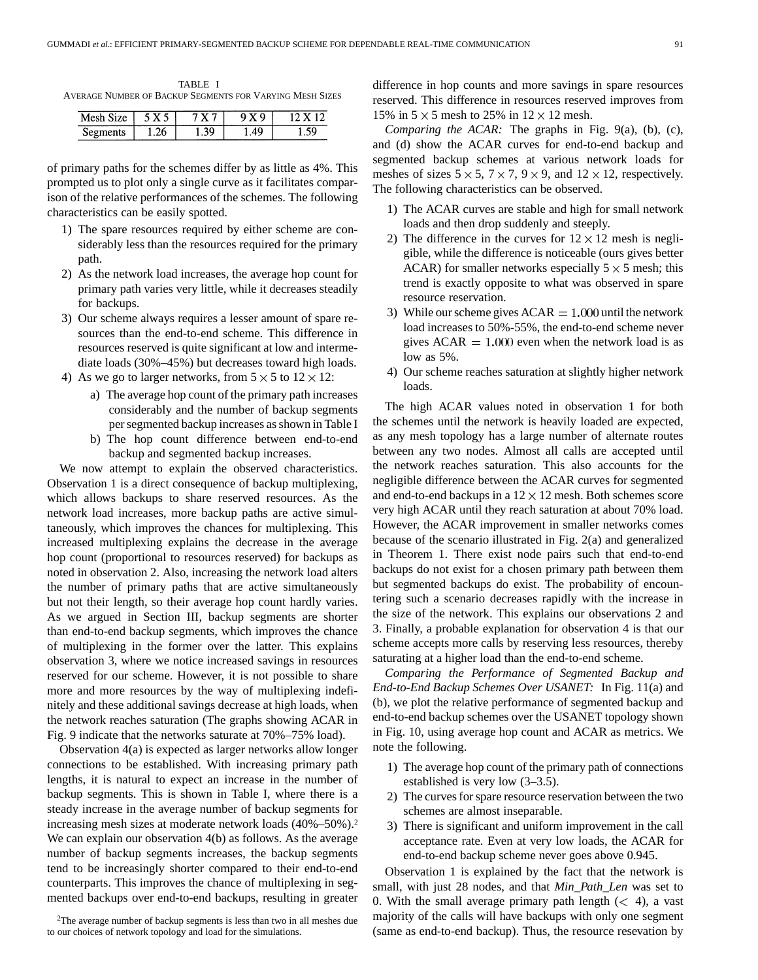TABLE I AVERAGE NUMBER OF BACKUP SEGMENTS FOR VARYING MESH SIZES

| Mesh Size |       | QXQ |  |
|-----------|-------|-----|--|
| Segments  | . 39. | .49 |  |

of primary paths for the schemes differ by as little as 4%. This prompted us to plot only a single curve as it facilitates comparison of the relative performances of the schemes. The following characteristics can be easily spotted.

- 1) The spare resources required by either scheme are considerably less than the resources required for the primary path.
- 2) As the network load increases, the average hop count for primary path varies very little, while it decreases steadily for backups.
- 3) Our scheme always requires a lesser amount of spare resources than the end-to-end scheme. This difference in resources reserved is quite significant at low and intermediate loads (30%–45%) but decreases toward high loads.
- 4) As we go to larger networks, from  $5 \times 5$  to  $12 \times 12$ :
	- a) The average hop count of the primary path increases considerably and the number of backup segments per segmented backup increases as shown in Table I
	- b) The hop count difference between end-to-end backup and segmented backup increases.

We now attempt to explain the observed characteristics. Observation 1 is a direct consequence of backup multiplexing, which allows backups to share reserved resources. As the network load increases, more backup paths are active simultaneously, which improves the chances for multiplexing. This increased multiplexing explains the decrease in the average hop count (proportional to resources reserved) for backups as noted in observation 2. Also, increasing the network load alters the number of primary paths that are active simultaneously but not their length, so their average hop count hardly varies. As we argued in Section III, backup segments are shorter than end-to-end backup segments, which improves the chance of multiplexing in the former over the latter. This explains observation 3, where we notice increased savings in resources reserved for our scheme. However, it is not possible to share more and more resources by the way of multiplexing indefinitely and these additional savings decrease at high loads, when the network reaches saturation (The graphs showing ACAR in Fig. 9 indicate that the networks saturate at 70%–75% load).

Observation 4(a) is expected as larger networks allow longer connections to be established. With increasing primary path lengths, it is natural to expect an increase in the number of backup segments. This is shown in Table I, where there is a steady increase in the average number of backup segments for increasing mesh sizes at moderate network loads (40%–50%).2 We can explain our observation 4(b) as follows. As the average number of backup segments increases, the backup segments tend to be increasingly shorter compared to their end-to-end counterparts. This improves the chance of multiplexing in segmented backups over end-to-end backups, resulting in greater

difference in hop counts and more savings in spare resources reserved. This difference in resources reserved improves from 15% in  $5 \times 5$  mesh to 25% in  $12 \times 12$  mesh.

*Comparing the ACAR:* The graphs in Fig. 9(a), (b), (c), and (d) show the ACAR curves for end-to-end backup and segmented backup schemes at various network loads for meshes of sizes  $5 \times 5$ ,  $7 \times 7$ ,  $9 \times 9$ , and  $12 \times 12$ , respectively. The following characteristics can be observed.

- 1) The ACAR curves are stable and high for small network loads and then drop suddenly and steeply.
- 2) The difference in the curves for  $12 \times 12$  mesh is negligible, while the difference is noticeable (ours gives better ACAR) for smaller networks especially  $5 \times 5$  mesh; this trend is exactly opposite to what was observed in spare resource reservation.
- 3) While our scheme gives  $ACAR = 1.000$  until the network load increases to 50%-55%, the end-to-end scheme never gives  $ACAR = 1.000$  even when the network load is as low as 5%.
- 4) Our scheme reaches saturation at slightly higher network loads.

The high ACAR values noted in observation 1 for both the schemes until the network is heavily loaded are expected, as any mesh topology has a large number of alternate routes between any two nodes. Almost all calls are accepted until the network reaches saturation. This also accounts for the negligible difference between the ACAR curves for segmented and end-to-end backups in a  $12 \times 12$  mesh. Both schemes score very high ACAR until they reach saturation at about 70% load. However, the ACAR improvement in smaller networks comes because of the scenario illustrated in Fig. 2(a) and generalized in Theorem 1. There exist node pairs such that end-to-end backups do not exist for a chosen primary path between them but segmented backups do exist. The probability of encountering such a scenario decreases rapidly with the increase in the size of the network. This explains our observations 2 and 3. Finally, a probable explanation for observation 4 is that our scheme accepts more calls by reserving less resources, thereby saturating at a higher load than the end-to-end scheme.

*Comparing the Performance of Segmented Backup and End-to-End Backup Schemes Over USANET:* In Fig. 11(a) and (b), we plot the relative performance of segmented backup and end-to-end backup schemes over the USANET topology shown in Fig. 10, using average hop count and ACAR as metrics. We note the following.

- 1) The average hop count of the primary path of connections established is very low (3–3.5).
- 2) The curves for spare resource reservation between the two schemes are almost inseparable.
- 3) There is significant and uniform improvement in the call acceptance rate. Even at very low loads, the ACAR for end-to-end backup scheme never goes above 0.945.

Observation 1 is explained by the fact that the network is small, with just 28 nodes, and that *Min\_Path\_Len* was set to 0. With the small average primary path length  $(< 4)$ , a vast majority of the calls will have backups with only one segment (same as end-to-end backup). Thus, the resource resevation by

<sup>2</sup>The average number of backup segments is less than two in all meshes due to our choices of network topology and load for the simulations.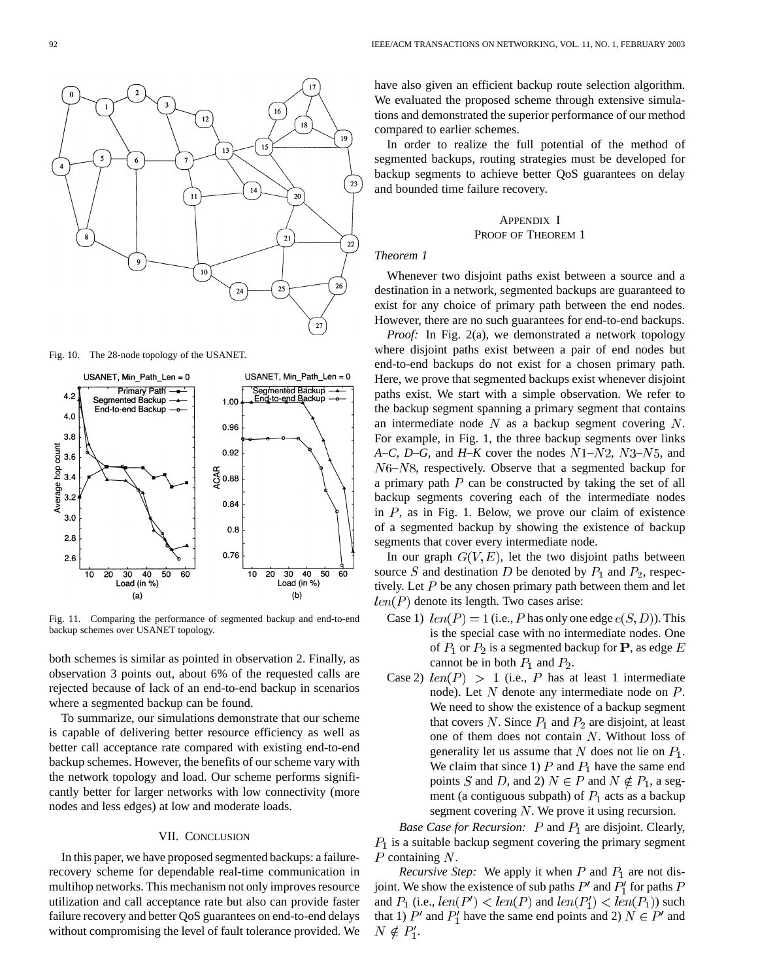

Fig. 10. The 28-node topology of the USANET.



Fig. 11. Comparing the performance of segmented backup and end-to-end backup schemes over USANET topology.

both schemes is similar as pointed in observation 2. Finally, as observation 3 points out, about 6% of the requested calls are rejected because of lack of an end-to-end backup in scenarios where a segmented backup can be found.

To summarize, our simulations demonstrate that our scheme is capable of delivering better resource efficiency as well as better call acceptance rate compared with existing end-to-end backup schemes. However, the benefits of our scheme vary with the network topology and load. Our scheme performs significantly better for larger networks with low connectivity (more nodes and less edges) at low and moderate loads.

# VII. CONCLUSION

In this paper, we have proposed segmented backups: a failurerecovery scheme for dependable real-time communication in multihop networks. This mechanism not only improves resource utilization and call acceptance rate but also can provide faster failure recovery and better QoS guarantees on end-to-end delays without compromising the level of fault tolerance provided. We have also given an efficient backup route selection algorithm. We evaluated the proposed scheme through extensive simulations and demonstrated the superior performance of our method compared to earlier schemes.

In order to realize the full potential of the method of segmented backups, routing strategies must be developed for backup segments to achieve better QoS guarantees on delay and bounded time failure recovery.

# APPENDIX I PROOF OF THEOREM 1

# *Theorem 1*

Whenever two disjoint paths exist between a source and a destination in a network, segmented backups are guaranteed to exist for any choice of primary path between the end nodes. However, there are no such guarantees for end-to-end backups.

*Proof:* In Fig. 2(a), we demonstrated a network topology where disjoint paths exist between a pair of end nodes but end-to-end backups do not exist for a chosen primary path. Here, we prove that segmented backups exist whenever disjoint paths exist. We start with a simple observation. We refer to the backup segment spanning a primary segment that contains an intermediate node  $N$  as a backup segment covering  $N$ . For example, in Fig. 1, the three backup segments over links  $A$ –*C*, *D*–*G*, and *H*–*K* cover the nodes  $N1$ – $N2$ ,  $N3$ – $N5$ , and  $N6-N8$ , respectively. Observe that a segmented backup for a primary path  $P$  can be constructed by taking the set of all backup segments covering each of the intermediate nodes in  $P$ , as in Fig. 1. Below, we prove our claim of existence of a segmented backup by showing the existence of backup segments that cover every intermediate node.

In our graph  $G(V, E)$ , let the two disjoint paths between source S and destination D be denoted by  $P_1$  and  $P_2$ , respectively. Let  $P$  be any chosen primary path between them and let  $len(P)$  denote its length. Two cases arise:

- Case 1)  $len(P) = 1$  (i.e., P has only one edge  $e(S, D)$ ). This is the special case with no intermediate nodes. One of  $P_1$  or  $P_2$  is a segmented backup for **P**, as edge E cannot be in both  $P_1$  and  $P_2$ .
- Case 2)  $len(P) > 1$  (i.e., P has at least 1 intermediate node). Let  $N$  denote any intermediate node on  $P$ . We need to show the existence of a backup segment that covers N. Since  $P_1$  and  $P_2$  are disjoint, at least one of them does not contain  $N$ . Without loss of generality let us assume that N does not lie on  $P_1$ . We claim that since 1)  $P$  and  $P_1$  have the same end points S and D, and 2)  $N \in P$  and  $N \notin P_1$ , a segment (a contiguous subpath) of  $P_1$  acts as a backup segment covering  $N$ . We prove it using recursion.

*Base Case for Recursion:*  $P$  and  $P_1$  are disjoint. Clearly,  $P_1$  is a suitable backup segment covering the primary segment  $P$  containing  $N$ .

*Recursive Step:* We apply it when  $P$  and  $P_1$  are not disjoint. We show the existence of sub paths  $P'$  and  $P'_1$  for paths  $P$ and  $P_1$  (i.e.,  $len(P') < len(P)$  and  $len(P'_1) < len(P_1)$ ) such that 1)  $P'$  and  $P'_1$  have the same end points and 2)  $N \in P'$  and  $N \notin P'_1$ .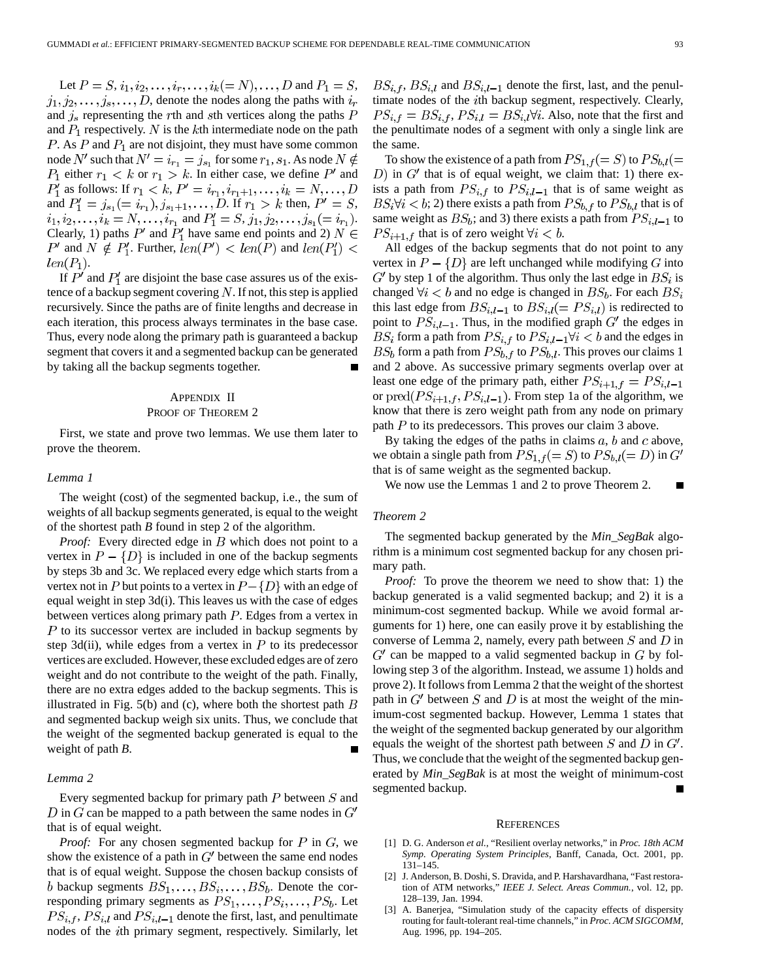Let  $P = S, i_1, i_2, \dots, i_r, \dots, i_k (= N), \dots, D$  and  $P_1 = S$ ,  $j_1, j_2, \ldots, j_s, \ldots, D$ , denote the nodes along the paths with  $i_r$ and  $j_s$  representing the rth and sth vertices along the paths  $P$ and  $P_1$  respectively. N is the kth intermediate node on the path P. As P and  $P_1$  are not disjoint, they must have some common node N' such that  $N' = i_{r_1} = j_{s_1}$  for some  $r_1, s_1$ . As node  $N \notin$  $P_1$  either  $r_1 < k$  or  $r_1 > k$ . In either case, we define P' and as follows: If  $r_1 < k$ , and  $P'_1 = j_{s_1} (= i_{r_1}), j_{s_1+1}, \ldots, D$ . If  $r_1 > k$  then,  $P' = S$ ,  $i_1, i_2, \ldots, i_k = N, \ldots, i_{r_1}$  and  $P'_1 = S, j_1, j_2, \ldots, j_{s_1} (= i_{r_1}).$ Clearly, 1) paths  $P'$  and  $P'_1$  have same end points and 2)  $N \in$  $P'$  and  $N \notin P'_1$ . Further,  $len(P') < len(P)$  and  $len(P'_1) <$  $len(P_1)$ .

If  $P'$  and  $P'_1$  are disjoint the base case assures us of the existence of a backup segment covering  $N$ . If not, this step is applied recursively. Since the paths are of finite lengths and decrease in each iteration, this process always terminates in the base case. Thus, every node along the primary path is guaranteed a backup segment that covers it and a segmented backup can be generated by taking all the backup segments together.

# APPENDIX II PROOF OF THEOREM 2

First, we state and prove two lemmas. We use them later to prove the theorem.

# *Lemma 1*

The weight (cost) of the segmented backup, i.e., the sum of weights of all backup segments generated, is equal to the weight of the shortest path *B* found in step 2 of the algorithm.

*Proof:* Every directed edge in B which does not point to a vertex in  $P - \{D\}$  is included in one of the backup segments by steps 3b and 3c. We replaced every edge which starts from a vertex not in P but points to a vertex in  $P - \{D\}$  with an edge of equal weight in step 3d(i). This leaves us with the case of edges between vertices along primary path  $P$ . Edges from a vertex in  $P$  to its successor vertex are included in backup segments by step 3d(ii), while edges from a vertex in  $P$  to its predecessor vertices are excluded. However, these excluded edges are of zero weight and do not contribute to the weight of the path. Finally, there are no extra edges added to the backup segments. This is illustrated in Fig.  $5(b)$  and (c), where both the shortest path  $B$ and segmented backup weigh six units. Thus, we conclude that the weight of the segmented backup generated is equal to the weight of path *B*.

# *Lemma 2*

Every segmented backup for primary path  $P$  between  $S$  and D in G can be mapped to a path between the same nodes in  $G'$ that is of equal weight.

*Proof:* For any chosen segmented backup for  $P$  in  $G$ , we show the existence of a path in  $G'$  between the same end nodes that is of equal weight. Suppose the chosen backup consists of b backup segments  $BS_1, \ldots, BS_i, \ldots, BS_b$ . Denote the corresponding primary segments as  $PS_1, \ldots, PS_i, \ldots, PS_b$ . Let  $PS_{i,f}$ ,  $PS_{i,l}$  and  $PS_{i,l-1}$  denote the first, last, and penultimate nodes of the  $i$ th primary segment, respectively. Similarly, let

 $BS_{i,f}, BS_{i,l}$  and  $BS_{i,l-1}$  denote the first, last, and the penultimate nodes of the *i*th backup segment, respectively. Clearly,  $PS_{i,f} = BS_{i,f}$ ,  $PS_{i,l} = BS_{i,l} \forall i$ . Also, note that the first and the penultimate nodes of a segment with only a single link are the same.

To show the existence of a path from  $PS_{1,f} (= S)$  to  $PS_{b,l} (=$  $D$ ) in  $G'$  that is of equal weight, we claim that: 1) there exists a path from  $PS_{i,f}$  to  $PS_{i,l-1}$  that is of same weight as  $BS_i \forall i < b$ ; 2) there exists a path from  $PS_{b,f}$  to  $PS_{b,l}$  that is of same weight as  $BS_b$ ; and 3) there exists a path from  $PS_{i,l-1}$  to  $PS_{i+1,f}$  that is of zero weight  $\forall i < b$ .

All edges of the backup segments that do not point to any vertex in  $P - \{D\}$  are left unchanged while modifying G into  $G'$  by step 1 of the algorithm. Thus only the last edge in  $BS_i$  is changed  $\forall i < b$  and no edge is changed in  $BS_b$ . For each  $BS_i$ this last edge from  $BS_{i,l-1}$  to  $BS_{i,l} (= PS_{i,l})$  is redirected to point to  $PS_{i,l-1}$ . Thus, in the modified graph  $G'$  the edges in  $BS_i$  form a path from  $PS_{i,f}$  to  $PS_{i,l-1}$   $\forall i < b$  and the edges in  $BS_b$  form a path from  $PS_{b,f}$  to  $PS_{b,l}$ . This proves our claims 1 and 2 above. As successive primary segments overlap over at least one edge of the primary path, either  $PS_{i+1,f} = PS_{i,l-1}$ or  $\text{pred}(PS_{i+1,f}, PS_{i,l-1})$ . From step 1a of the algorithm, we know that there is zero weight path from any node on primary path  $P$  to its predecessors. This proves our claim 3 above.

By taking the edges of the paths in claims  $a, b$  and  $c$  above, we obtain a single path from  $PS_{1,f} (= S)$  to  $PS_{b,l} (= D)$  in  $G'$ that is of same weight as the segmented backup.

We now use the Lemmas 1 and 2 to prove Theorem 2.

# *Theorem 2*

The segmented backup generated by the *Min\_SegBak* algorithm is a minimum cost segmented backup for any chosen primary path.

*Proof:* To prove the theorem we need to show that: 1) the backup generated is a valid segmented backup; and 2) it is a minimum-cost segmented backup. While we avoid formal arguments for 1) here, one can easily prove it by establishing the converse of Lemma 2, namely, every path between  $S$  and  $D$  in  $G'$  can be mapped to a valid segmented backup in G by following step 3 of the algorithm. Instead, we assume 1) holds and prove 2). It follows from Lemma 2 that the weight of the shortest path in  $G'$  between S and D is at most the weight of the minimum-cost segmented backup. However, Lemma 1 states that the weight of the segmented backup generated by our algorithm equals the weight of the shortest path between S and D in  $G'$ . Thus, we conclude that the weight of the segmented backup generated by *Min\_SegBak* is at most the weight of minimum-cost segmented backup.

#### **REFERENCES**

- [1] D. G. Anderson *et al.*, "Resilient overlay networks," in *Proc. 18th ACM Symp. Operating System Principles*, Banff, Canada, Oct. 2001, pp. 131–145.
- [2] J. Anderson, B. Doshi, S. Dravida, and P. Harshavardhana, "Fast restoration of ATM networks," *IEEE J. Select. Areas Commun.*, vol. 12, pp. 128–139, Jan. 1994.
- [3] A. Banerjea, "Simulation study of the capacity effects of dispersity routing for fault-tolerant real-time channels," in *Proc. ACM SIGCOMM*, Aug. 1996, pp. 194–205.